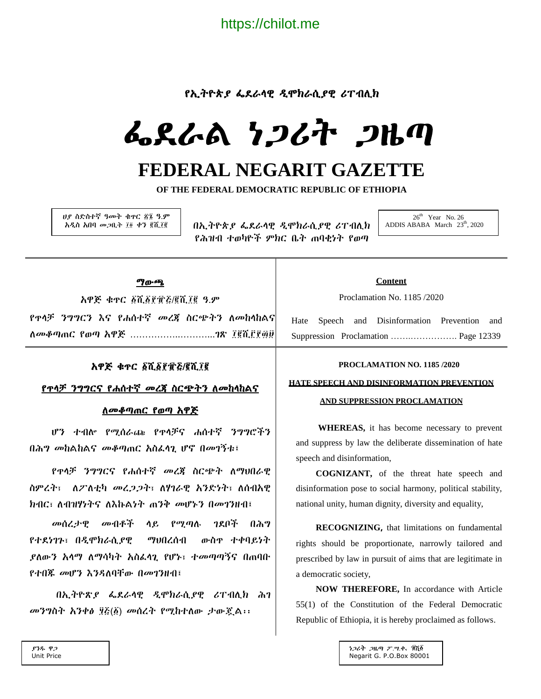https://chilot.me

# የኢትዮጵያ ፌደራላዊ ዲሞክራሲያዊ ሪፐብሊክ

# ፌደራል ነጋሪት ጋዜጣ

# **FEDERAL NEGARIT GAZETTE**

**OF THE FEDERAL DEMOCRATIC REPUBLIC OF ETHIOPIA**

ሀያ ስድስተኛ ዓመት ቁጥር ፳፮ ዓ.ም አዲስ አበባ መጋቢት ፲፬ ቀን ፪ሺ፲፪

በኢትዮጵያ ፌደራላዊ ዲሞክራሲያዊ ሪፐብሊክ የሕዝብ ተወካዮች ምክር ቤት ጠባቂነት የወጣ

 $26<sup>th</sup>$  Year No. 26 ADDIS ABABA March 23<sup>th</sup>, 2020

#### ማውጫ

አዋጅ ቁጥር ፩ሺ፩፻፹፭/፪ሺ፲፪ ዓ.ም የጥላቻ ንግግርን እና የሐሰተኛ መረጃ ስርጭትን ለመከላከልና ለመቆጣጠር የወጣ አዋጅ ……………..………...ገጽ ፲፪ሺ፫፻፴፱

## አዋጅ ቁጥር ፩ሺ፩፻፹፭/፪ሺ፲፪

#### የጥላቻ ንግግርና የሐሰተኛ መረጃ ስርጭትን ለመከላከልና

## ለመቆጣጠር የወጣ አዋጅ

 ሆን ተብሎ የሚሰራጩ የጥላቻና ሐሰተኛ ንግግሮችን በሕግ መከልከልና መቆጣጠር አስፈላጊ ሆኖ በመገኝቱ፤

 የጥላቻ ንግግርና የሐሰተኛ መረጃ ስርጭት ለማህበራዊ ስምረት፣ ለፖለቲካ መረጋጋት፣ ለሃገራዊ አንድነት፣ ለሰብአዊ ክብር፣ ለብዝሃነትና ለእኩልነት ጠንቅ መሆኑን በመገንዘብ፤

 መሰረታዊ መብቶች ላይ የሚጣሉ ገደቦች በሕግ የተደነገጉ፣ በዲሞክራሲያዊ ማህበረሰብ ውስጥ ተቀባይነት ያለውን አላማ ለማሳካት አስፈላጊ የሆኑ፣ ተመጣጣኝና በጠባቡ የተበጁ መሆን እንዳለባቸው በመገንዘብ፤

 በኢትዮጽያ ፌደራላዊ ዲሞክራሲያዊ ሪፐብሊክ ሕገ መንግስት አንቀፅ ፶፭(፩) መሰረት የሚከተለው ታውጇል፡፡

#### **Content**

Proclamation No. 1185 /2020

Hate Speech and Disinformation Prevention and Suppression Proclamation …….……………. Page 12339

#### **PROCLAMATION NO. 1185 /2020**

#### **HATE SPEECH AND DISINFORMATION PREVENTION**

#### **AND SUPPRESSION PROCLAMATION**

 **WHEREAS,** it has become necessary to prevent and suppress by law the deliberate dissemination of hate speech and disinformation,

**COGNIZANT,** of the threat hate speech and disinformation pose to social harmony, political stability, national unity, human dignity, diversity and equality,

**RECOGNIZING,** that limitations on fundamental rights should be proportionate, narrowly tailored and prescribed by law in pursuit of aims that are legitimate in a democratic society,

**NOW THEREFORE,** In accordance with Article 55(1) of the Constitution of the Federal Democratic Republic of Ethiopia, it is hereby proclaimed as follows.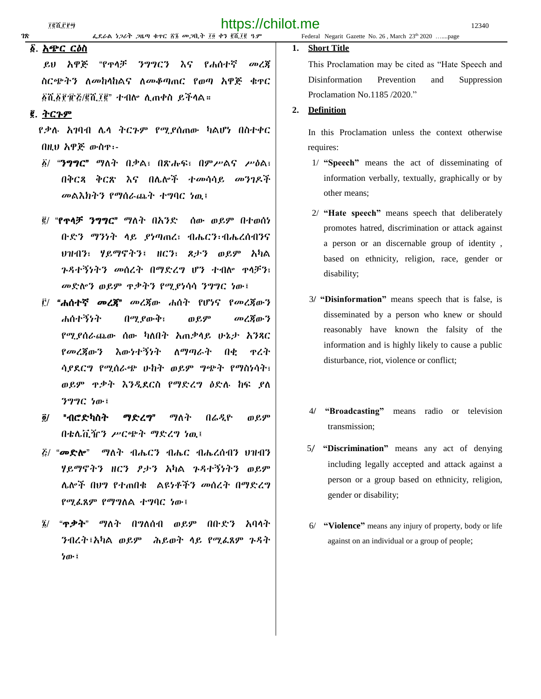|    | . <del>. .</del> . |                                          |                                                                  |  |
|----|--------------------|------------------------------------------|------------------------------------------------------------------|--|
| 78 |                    | ፌደራል ነጋሪት ጋዜጣ ቁተር ፳፮ መጋቢት ፲፬ ቀን ፪ሺ፲፪ ዓ.ም | Federal Negarit Gazette No. 26, March 23 <sup>th</sup> 2020 page |  |

# ፩. አጭር ርዕስ

 ይህ አዋጅ "የጥላቻ ንግግርን እና የሐሰተኛ መረጃ ስርጭትን ለመከላከልና ለመቆጣጠር የወጣ አዋጅ ቁጥር ፩ሺ፩፻፹፭/፪ሺ፲፪" ተብሎ ሊጠቀስ ይችላል።

#### ፪. <u>ትርጉም</u>

 የቃሉ አገባብ ሌላ ትርጉም የሚያሰጠው ካልሆነ በስተቀር በዚህ አዋጅ ውስጥ፡-

- ፩/ "ንግግር" ማለት በቃል፣ በጽሑፍ፣ በምሥልና ሥዕል፣ በቅርጻ ቅርጽ እና በሌሎች ተመሳሳይ መንገዶች መልእክትን የማሰራጨት ተግባር ነዉ፤
- ፪/ "የጥላቻ ንግግር" ማለት በአንድ ሰው ወይም በተወሰነ ቡድን ማንነት ላይ ያነጣጠረ፣ ብሔርን፡ብሔረሰብንና ህዝብን፣ ሃይማኖትን፤ ዘርን፣ ጾታን ወይም አካል ጉዳተኝነትን መሰረት በማድረግ ሆን ተብሎ ጥላቻን፣ መድሎን ወይም ጥቃትን የሚያነሳሳ ንግግር ነው፤
- ፫/ "ሐሰተኛ መረጃ" መረጃው ሐሰት የሆነና የመረጃውን ሐሰተኝነት በሚያውቅ፣ ወይም መረጃውን የሚያሰራጨው ሰው ካለበት አጠቃላይ ሁኔታ አንጻር የመረጃውን እውነተኝነት ለማጣራት በቂ ጥረት ሳያደርግ የሚሰራጭ ሁከት ወይም ግጭት የማስነሳት፣ ወይም ጥቃት እንዲደርስ የማድረግ ዕድሉ ከፍ ያለ ንግግር ነው፤
- ፬/ "ብሮድካስት ማድረግ" ማለት በሬዲዮ ወይም በቴሌቪዥን ሥርጭት ማድረግ ነዉ፤
- ፭/ "መድሎ" ማለት ብሔርን ብሔር ብሔረሰብን ህዝብን ሃይማኖትን ዘርን ፆታን አካል ጉዳተኝነትን ወይም ሌሎች በህግ የተጠበቁ ልዩነቶችን መሰረት በማድረግ የሚፈጸም የማግለል ተግባር ነው፤
- ፮/ "ጥቃት" ማለት በግለሰብ ወይም በቡድን አባላት ንብረት፤አካል ወይም ሕይወት ላይ የሚፈጸም ጉዳት ነው፤

#### **1. Short Title**

This Proclamation may be cited as "Hate Speech and Disinformation Prevention and Suppression Proclamation No.1185 /2020."

#### **2. Definition**

In this Proclamation unless the context otherwise requires:

- 1/ **"Speech"** means the act of disseminating of information verbally, textually, graphically or by other means;
- 2/ **"Hate speech"** means speech that deliberately promotes hatred, discrimination or attack against a person or an discernable group of identity , based on ethnicity, religion, race, gender or disability;
- 3**/ "Disinformation"** means speech that is false, is disseminated by a person who knew or should reasonably have known the falsity of the information and is highly likely to cause a public disturbance, riot, violence or conflict;
- 4**/ "Broadcasting"** means radio or television transmission;
- 5/ **"Discrimination"** means any act of denying including legally accepted and attack against a person or a group based on ethnicity, religion, gender or disability;
- 6/ **"Violence"** means any injury of property, body or life against on an individual or a group of people;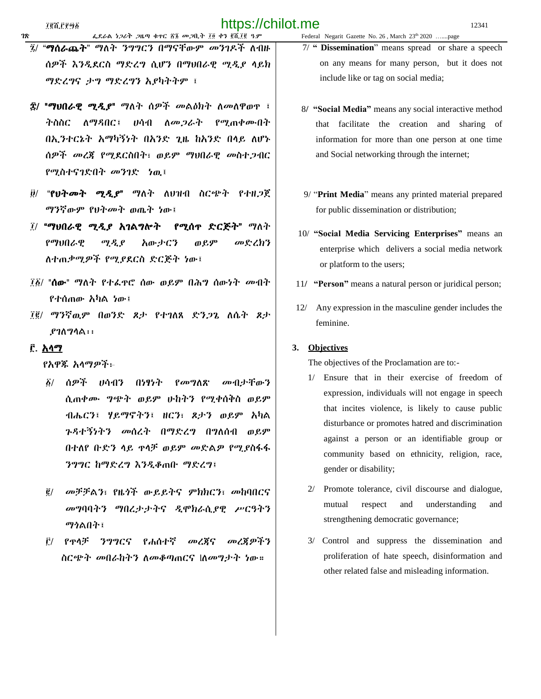- ፯/ "ማሰራጨት" ማለት ንግግርን በማናቸውም መንገዶች ለብዙ ሰዎች እንዲደርስ ማድረግ ሲሆን በማህበራዊ ሚዲያ ላይክ ማድረግና ታግ ማድረግን አያካትትም ፤
- ፰/ "ማህበራዊ ሚዲያ" ማለት ሰዎች መልዕክት ለመለዋወጥ ፤ ትስስር ለማዳበር፤ ሀሳብ ለመጋራት የሚጠቀሙበት በኢንተርኔት አማካኝነት በአንድ ጊዜ ከአንድ በላይ ለሆኑ ሰዎች መረጃ የሚደርስበት፣ ወይም ማህበራዊ መስተጋብር የሚስተናገድበት መንገድ ነዉ፤
- ፱/ "የህትመት ሚዲያ" ማለት ለህዝብ ስርጭት የተዘጋጀ ማንኛውም የህትመት ወጤት ነው፤
- ፲/ "ማህበራዊ ሚዲያ አገልግሎት የሚሰጥ ድርጅት" ማለት የማህበራዊ ሚዲያ አውታርን ወይም መድረክን ለተጠቃሚዎች የሚያደርስ ድርጅት ነው፤
- ፲፩/ "ሰው" ማለት የተፈጥሮ ሰው ወይም በሕግ ሰውነት መብት የተሰጠው አካል ነው፤
- ፲፪/ ማንኛዉም በወንድ ጾታ የተገለጸ ድንጋጌ ለሴት ጾታ ያገለግላል፡፡

#### ፫. አላማ

የአዋጁ አላማዎች፦

- ፩/ ሰዎች ሀሳብን በነፃነት የመግለጽ መብታቸውን ሲጠቀሙ ግጭት ወይም ሁከትን የሚቀሰቅስ ወይም ብሔርን፤ ሃይማኖትን፤ ዘርን፣ ጾታን ወይም አካል ጉዳተኝነትን መሰረት በማድረግ በግለሰብ ወይም በተለየ ቡድን ላይ ጥላቻ ወይም መድልዎ የሚያስፋፋ ንግግር ከማድረግ እንዲቆጠቡ ማድረግ፤
- ፪/ መቻቻልን፣ የዜጎች ውይይትና ምክክርን፣ መከባበርና መግባባትን ማበረታታትና ዲሞክራሲያዊ ሥርዓትን ማጎልበት፤
- ፫/ የጥላቻ ንግግርና የሐሰተኛ መረጃና መረጃዎችን ስርጭት መበራከትን ለመቆጣጠርና lለመግታት ነው።
- 7/ **" Dissemination**" means spread or share a speech on any means for many person, but it does not include like or tag on social media;
- 8**/ "Social Media"** means any social interactive method that facilitate the creation and sharing of information for more than one person at one time and Social networking through the internet;
- 9/ "**Print Media**" means any printed material prepared for public dissemination or distribution;
- 10/ **"Social Media Servicing Enterprises"** means an enterprise which delivers a social media network or platform to the users;
- 11**/ "Person"** means a natural person or juridical person;
- 12/ Any expression in the masculine gender includes the feminine.

#### **3. Objectives**

The objectives of the Proclamation are to:-

- Ensure that in their exercise of freedom of expression, individuals will not engage in speech that incites violence, is likely to cause public disturbance or promotes hatred and discrimination against a person or an identifiable group or community based on ethnicity, religion, race, gender or disability;
- 2/ Promote tolerance, civil discourse and dialogue, mutual respect and understanding and strengthening democratic governance;
- 3/ Control and suppress the dissemination and proliferation of hate speech, disinformation and other related false and misleading information.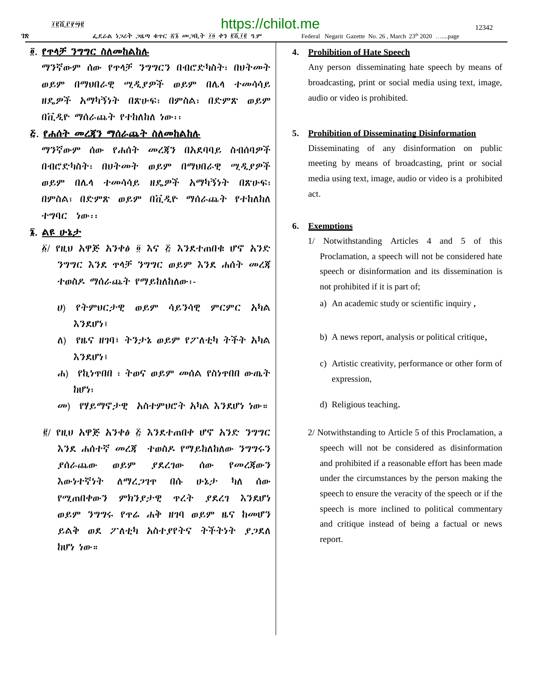# ፬. የጥላቻ ንግግር ስለመከልከሉ

ማንኛውም ሰው የጥላቻ ንግግርን በብሮድካስት፣ በህትመት ወይም በማህበራዊ ሚዲያዎች ወይም በሌላ ተመሳሳይ ዘዴዎች አማካኝነት በጽሁፍ፣ በምስል፣ በድምጽ ወይም በቪዲዮ ማሰራጨት የተከለከለ ነው፡፡

#### ፭. የሐሰት መረጃን ማሰራጨት ስለመከልከሉ

ማንኛውም ሰው የሐሰት መረጃን በአደባባይ ስብሰባዎች በብሮድካስት፣ በህትመት ወይም በማህበራዊ ሚዲያዎች ወይም በሌላ ተመሳሳይ ዘዴዎች አማካኝነት በጽሁፍ፣ በምስል፣ በድምጽ ወይም በቪዲዮ ማሰራጨት የተከለከለ ተግባር ነው፡፡

# ፮. ልዩ ሁኔታ

- ፩/ የዚህ አዋጅ አንቀፅ ፬ እና ፭ እንደተጠበቁ ሆኖ አንድ ንግግር እንደ ጥላቻ ንግግር ወይም እንደ ሐሰት መረጃ ተወስዶ ማሰራጨት የማይከለከለው፡-
	- ሀ) የትምህርታዊ ወይም ሳይንሳዊ ምርምር አካል እንደሆነ፤
	- ለ) የዜና ዘገባ፤ ትንታኔ ወይም የፖለቲካ ትችት አካል እንደሆነ፤
	- ሐ) የኪነጥበበ ፣ ትወና ወይም መሰል የስነጥበበ ውጤት ከሆነ፣
	- መ) የሃይማኖታዊ አስተምህሮት አካል እንደሆነ ነው።
- ፪/ የዚህ አዋጅ አንቀፅ ፭ እንደተጠበቀ ሆኖ አንድ ንግግር እንደ ሐሰተኛ መረጃ ተወስዶ የማይከለከለው ንግግሩን ያሰራጨው ወይም ያደረገው ሰው የመረጃውን እውነተኛነት ለማረጋገጥ በሱ ሁኔታ ካለ ሰው የሚጠበቀውን ምክንያታዊ ጥረት ያደረገ እንደሆነ ወይም ንግግሩ የጥሬ ሐቅ ዘገባ ወይም ዜና ከመሆን ይልቅ ወደ ፖለቲካ አስተያየትና ትችትነት ያጋደለ ከሆነ ነው።

#### **1ጽ ቀደራል ነጋሪት ጋዜጣ ቁጥር ፳፮ መጋቢት ፲፬ ቀን ፪ሺ፲፪ ዓ.ም 6** Federal Negarit Gazette No. 26, March 23<sup>th</sup> 2020 …....page

#### **4. Prohibition of Hate Speech**

Any person disseminating hate speech by means of broadcasting, print or social media using text, image, audio or video is prohibited.

#### **5. Prohibition of Disseminating Disinformation**

Disseminating of any disinformation on public meeting by means of broadcasting, print or social media using text, image, audio or video is a prohibited act.

#### **6. Exemptions**

- 1/ Notwithstanding Articles 4 and 5 of this Proclamation, a speech will not be considered hate speech or disinformation and its dissemination is not prohibited if it is part of;
	- a) An academic study or scientific inquiry ,
	- b) A news report, analysis or political critique,
	- c) Artistic creativity, performance or other form of expression,
	- d) Religious teaching.
- 2/ Notwithstanding to Article 5 of this Proclamation, a speech will not be considered as disinformation and prohibited if a reasonable effort has been made under the circumstances by the person making the speech to ensure the veracity of the speech or if the speech is more inclined to political commentary and critique instead of being a factual or news report.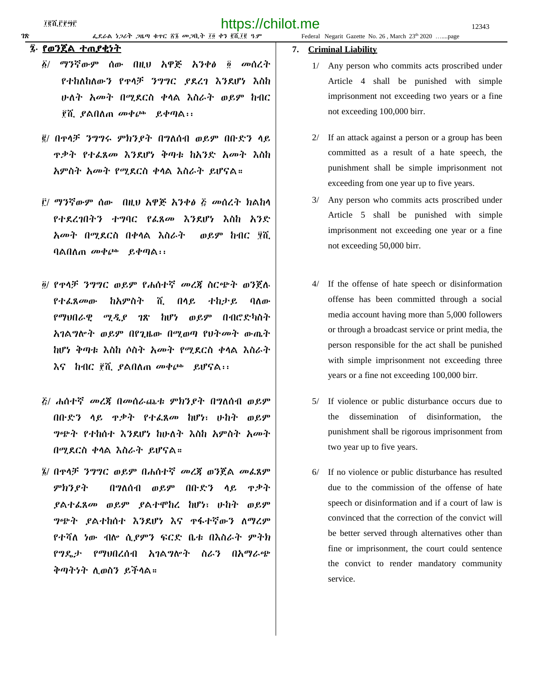#### ፯∙ የወንጀል ተጠያቂነት

- ፩/ ማንኛውም ሰው በዚህ አዋጅ አንቀፅ ፬ መሰረት የተከለከለውን የጥላቻ ንግግር ያደረገ እንደሆነ እስከ ሁለት አመት በሚደርስ ቀላል እስራት ወይም ከብር ፻ሺ ያልበለጠ መቀጮ ይቀጣል፡፡
- ፪/ በጥላቻ ንግግሩ ምክንያት በግለሰብ ወይም በቡድን ላይ ጥቃት የተፈጸመ እንደሆነ ቅጣቱ ከአንድ አመት እስከ አምስት አመት የሚደርስ ቀላል እስራት ይሆናል።
- ፫/ ማንኛውም ሰው በዚህ አዋጅ አንቀፅ ፭ መሰረት ክልከላ የተደረገበትን ተግባር የፈጸመ እንደሆነ እስከ አንድ አመት በሚደርስ በቀላል እስራት ወይም ከብር ፶ሺ ባልበለጠ መቀጮ ይቀጣል፡፡
- ፬/ የጥላቻ ንግግር ወይም የሐሰተኛ መረጃ ስርጭት ወንጀሉ የተፈጸመው ከአምስት ሺ በላይ ተከታይ ባለው የማህበራዊ ሚዲያ ገጽ ከሆነ ወይም በብሮድካስት አገልግሎት ወይም በየጊዜው በሚወጣ የህትመት ውጤት ከሆነ ቅጣቱ እስከ ሶስት አመት የሚደርስ ቀላል እስራት እና ከብር ፻ሺ ያልበለጠ መቀጮ ይሆናል፡፡
- ፭/ ሐሰተኛ መረጃ በመሰራጨቱ ምክንያት በግለሰብ ወይም በቡድን ላይ ጥቃት የተፈጸመ ከሆነ፣ ሁከት ወይም ግጭት የተከሰተ እንደሆነ ከሁለት እስከ አምስት አመት በሚደርስ ቀላል እስራት ይሆናል።
- ፮/ በጥላቻ ንግግር ወይም በሐሰተኛ መረጃ ወንጀል መፈጸም ምክንያት በግለሰብ ወይም በቡድን ላይ ጥቃት ያልተፈጸመ ወይም ያልተሞከረ ከሆነ፣ ሁከት ወይም ግጭት ያልተከሰተ እንደሆነ እና ጥፋተኛውን ለማረም የተሻለ ነው ብሎ ሲያምን ፍርድ ቤቱ በእስራት ምትክ የግዴታ የማህበረሰብ አገልግሎት ስራን በአማራጭ ቅጣትነት ሊወስን ይችላል።

#### **7. Criminal Liability**

- 1/ Any person who commits acts proscribed under Article 4 shall be punished with simple imprisonment not exceeding two years or a fine not exceeding 100,000 birr.
- 2/ If an attack against a person or a group has been committed as a result of a hate speech, the punishment shall be simple imprisonment not exceeding from one year up to five years.
- 3/ Any person who commits acts proscribed under Article 5 shall be punished with simple imprisonment not exceeding one year or a fine not exceeding 50,000 birr.
- 4/ If the offense of hate speech or disinformation offense has been committed through a social media account having more than 5,000 followers or through a broadcast service or print media, the person responsible for the act shall be punished with simple imprisonment not exceeding three years or a fine not exceeding 100,000 birr.
- 5/ If violence or public disturbance occurs due to the dissemination of disinformation, the punishment shall be rigorous imprisonment from two year up to five years.
- 6/ If no violence or public disturbance has resulted due to the commission of the offense of hate speech or disinformation and if a court of law is convinced that the correction of the convict will be better served through alternatives other than fine or imprisonment, the court could sentence the convict to render mandatory community service.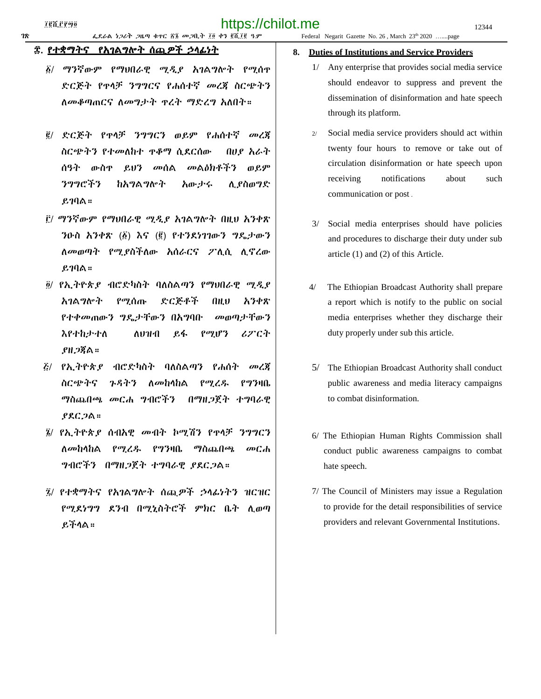# ፰. <u>የተቋማትና የአገልግሎት ሰጪዎች ኃላፊነት</u>

- ፩/ ማንኛውም የማህበራዊ ሚዲያ አገልግሎት የሚሰጥ ድርጅት የጥላቻ ንግግርና የሐሰተኛ መረጃ ስርጭትን ለመቆጣጠርና ለመግታት ጥረት ማድረግ አለበት።
- ፪/ ድርጅት የጥላቻ ንግግርን ወይም የሐሰተኛ መረጃ ስርጭትን የተመለከተ ጥቆማ ሲደርሰው በሀያ አራት ሰዓት ውስጥ ይህን መሰል መልዕክቶችን ወይም ንግግሮችን ከአግልግሎት አውታሩ ሊያስወግድ ይገባል።
- ፫/ ማንኛውም የማህበራዊ ሚዲያ አገልግሎት በዚህ አንቀጽ ንዑስ አንቀጽ (፩) እና (፪) የተንደነገገውን ግዴታውን ለመወጣት የሚያስችለው አሰራርና ፖሊሲ ሊኖረው ይገባል።
- ፬/ የኢትዮጵያ ብሮድካስት ባለስልጣን የማህበራዊ ሚዲያ አገልግሎት የሚሰጡ ድርጅቶች በዚህ አንቀጽ የተቀመጠውን ግዴታቸውን በአግባቡ መወጣታቸውን እየተከታተለ ለህዝብ ይፋ የሚሆን ሪፖርት ያዘጋጃል።
- ፭/ የኢትዮጵያ ብሮድካስት ባለስልጣን የሐሰት መረጃ ስርጭትና ጉዳትን ለመከላከል የሚረዱ የግንዛቤ ማስጨበጫ መርሐ ግብሮችን በማዘጋጀት ተግባራዊ ያደርጋል።
- ፮/ የኢትዮጵያ ሰብአዊ መብት ኮሚሽን የጥላቻ ንግግርን ለመከላከል የሚረዱ የግንዛቤ ማስጨበጫ መርሐ ግብሮችን በማዘጋጀት ተግባራዊ ያደርጋል።
- ፯/ የተቋማትና የአገልግሎት ሰጪዎች ኃላፊነትን ዝርዝር የሚደነግግ ደንብ በሚኒስትሮች ምክር ቤት ሊወጣ ይችላል።

#### **8. Duties of Institutions and Service Providers**

- 1/ Any enterprise that provides social media service should endeavor to suppress and prevent the dissemination of disinformation and hate speech through its platform.
- 2/ Social media service providers should act within twenty four hours to remove or take out of circulation disinformation or hate speech upon receiving notifications about such communication or post .
- 3/ Social media enterprises should have policies and procedures to discharge their duty under sub article (1) and (2) of this Article.
- 4/ The Ethiopian Broadcast Authority shall prepare a report which is notify to the public on social media enterprises whether they discharge their duty properly under sub this article.
- 5/ The Ethiopian Broadcast Authority shall conduct public awareness and media literacy campaigns to combat disinformation.
- 6/ The Ethiopian Human Rights Commission shall conduct public awareness campaigns to combat hate speech.
- 7/ The Council of Ministers may issue a Regulation to provide for the detail responsibilities of service providers and relevant Governmental Institutions.